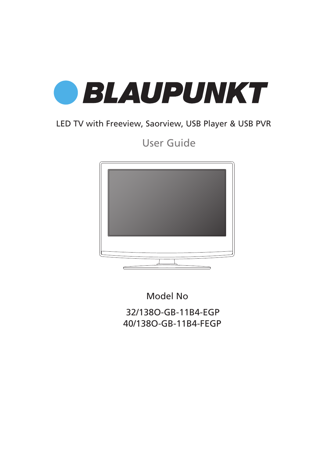

## LED TV with Freeview, Saorview, USB Player & USB PVR

User Guide



32/138O-GB-11B4-EGP 40/138O-GB-11B4-FEGP Model No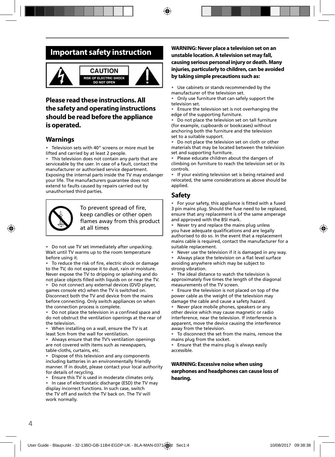## **Important safety instruction**



## **Please read these instructions. All the safety and operating instructions should be read before the appliance is operated.**

### **Warnings**

• Television sets with 40" screens or more must be lifted and carried by at least 2 people.

This television does not contain any parts that are serviceable by the user. In case of a fault, contact the manufacturer or authorised service department. Exposing the internal parts inside the TV may endanger your life. The manufacturers guarantee does not extend to faults caused by repairs carried out by unauthorised third parties.



To prevent spread of fire, keep candles or other open flames away from this product at all times

• Do not use TV set immediately after unpacking. Wait until TV warms up to the room temperature before using it.

To reduce the risk of fire, electric shock or damage to the TV, do not expose it to dust, rain or moisture. Never expose the TV to dripping or splashing and do not place objects filled with liquids on or near the TV.

• Do not connect any external devices (DVD player, games console etc) when the TV is switched on. Disconnect both the TV and device from the mains before connecting. Only switch appliances on when the connection process is complete.

Do not place the television in a confined space and do not obstruct the ventilation openings at the rear of the television.

• When installing on a wall, ensure the TV is at least 5cm from the wall for ventilation.

• Always ensure that the TV's ventilation openings are not covered with items such as newspapers, table-cloths, curtains, etc.

Dispose of this television and any components including batteries in an environmentally friendly manner. If in doubt, please contact your local authority for details of recycling.

• Ensure this TV is used in moderate climates only.

In case of electrostatic discharge (ESD) the TV may display incorrect functions. In such case, switch the TV off and switch the TV back on. The TV will work normally.

### **WARNING: Never place a television set on an unstable location. A television set may fall, causing serious personal injury or death. Many injuries, particularly to children, can be avoided by taking simple precautions such as:**

• Use cabinets or stands recommended by the manufacturer of the television set.

• Only use furniture that can safely support the television set.

• Ensure the television set is not overhanging the edge of the supporting furniture.

• Do not place the television set on tall furniture (for example, cupboards or bookcases) without anchoring both the furniture and the television set to a suitable support.

• Do not place the television set on cloth or other materials that may be located between the television set and supporting furniture.

• Please educate children about the dangers of climbing on furniture to reach the television set or its controls.

• If your existing television set is being retained and relocated, the same considerations as above should be applied.

### **Safety**

For your safety, this appliance is fitted with a fused 3 pin mains plug. Should the fuse need to be replaced, ensure that any replacement is of the same amperage and approved with the BSI mark.

• Never try and replace the mains plug unless you have adequate qualifications and are legally authorised to do so. In the event that a replacement mains cable is required, contact the manufacturer for a suitable replacement.

Never use the television if it is damaged in any way.

Always place the television on a flat level surface avoiding anywhere which may be subject to strong vibration.

• The ideal distance to watch the television is approximately five times the length of the diagonal measurements of the TV screen.

Ensure the television is not placed on top of the power cable as the weight of the television may damage the cable and cause a safety hazard.

• Never place mobile phones, speakers or any other device which may cause magnetic or radio interference, near the television. If interference is apparent, move the device causing the interference away from the television.

• To disconnect the set from the mains, remove the mains plug from the socket.

• Ensure that the mains plug is always easily accessible.

### **WARNING: Excessive noise when using earphones and headphones can cause loss of hearing.**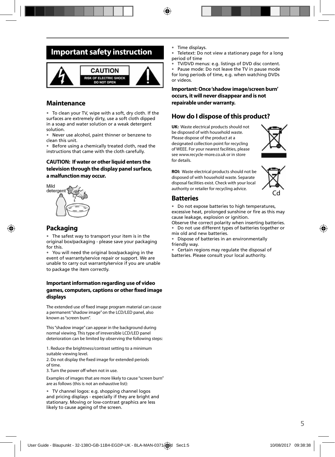## **Important safety instruction**



### **Maintenance**

• To clean your TV, wipe with a soft, dry cloth. If the surfaces are extremely dirty, use a soft cloth dipped in a soap and water solution or a weak detergent solution.

• Never use alcohol, paint thinner or benzene to clean this unit.

• Before using a chemically treated cloth, read the instructions that came with the cloth carefully.

### **CAUTION: If water or other liquid enters the television through the display panel surface, a malfunction may occur.**



### **Packaging**

The safest way to transport your item is in the original box/packaging - please save your packaging for this.

• You will need the original box/packaging in the event of warranty/service repair or support. We are unable to carry out warranty/service if you are unable to package the item correctly.

### **Important information regarding use of video**  games, computers, captions or other fixed image **displays**

The extended use of fixed image program material can cause a permanent "shadow image" on the LCD/LED panel, also known as "screen burn".

This "shadow image" can appear in the background during normal viewing. This type of irreversible LCD/LED panel deterioration can be limited by observing the following steps:

1. Reduce the brightness/contrast setting to a minimum suitable viewing level.

2. Do not display the fixed image for extended periods of time.

3. Turn the power off when not in use.

Examples of images that are more likely to cause "screen burn" are as follows (this is not an exhaustive list):

• TV channel logos: e.g. shopping channel logos and pricing displays - especially if they are bright and stationary. Moving or low-contrast graphics are less likely to cause ageing of the screen.

- Time displays.
- Teletext: Do not view a stationary page for a long period of time
- TV/DVD menus: e.g. listings of DVD disc content.

• Pause mode: Do not leave the TV in pause mode for long periods of time, e.g. when watching DVDs or videos.

### **Important: Once 'shadow image/screen burn' occurs, it will never disappear and is not repairable under warranty.**

### **How do I dispose of this product?**

**UK:** Waste electrical products should not be disposed of with household waste. Please dispose of the product at a designated collection point for recycling of WEEE. For your nearest facilities, please see www.recycle-more.co.uk or in store for details.



**ROI:** Waste electrical products should not be disposed of with household waste. Separate disposal facilities exist. Check with your local authority or retailer for recycling advice.



### **Batteries**

• Do not expose batteries to high temperatures, excessive heat, prolonged sunshine or fire as this may cause leakage, explosion or ignition.

Observe the correct polarity when inserting batteries. • Do not use different types of batteries together or mix old and new batteries.

• Dispose of batteries in an environmentally friendly way.

• Certain regions may regulate the disposal of batteries. Please consult your local authority.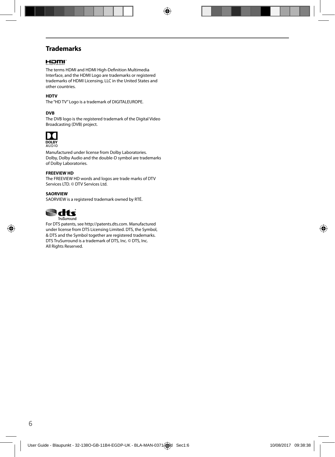## **Trademarks**

### HOMI

The terms HDMI and HDMI High-Definition Multimedia Interface, and the HDMI Logo are trademarks or registered trademarks of HDMI Licensing, LLC in the United States and other countries.

### **HDTV**

The "HD TV" Logo is a trademark of DIGITALEUROPE.

### **DVB**

The DVB logo is the registered trademark of the Digital Video Broadcasting (DVB) project.



Manufactured under license from Dolby Laboratories. Dolby, Dolby Audio and the double-D symbol are trademarks of Dolby Laboratories.

### **FREEVIEW HD**

The FREEVIEW HD words and logos are trade marks of DTV Services LTD. © DTV Services Ltd.

### **SAORVIEW**

SAORVIEW is a registered trademark owned by RTÉ.



For DTS patents, see http://patents.dts.com. Manufactured under license from DTS Licensing Limited. DTS, the Symbol, & DTS and the Symbol together are registered trademarks. DTS TruSurround is a trademark of DTS, Inc. © DTS, Inc. All Rights Reserved.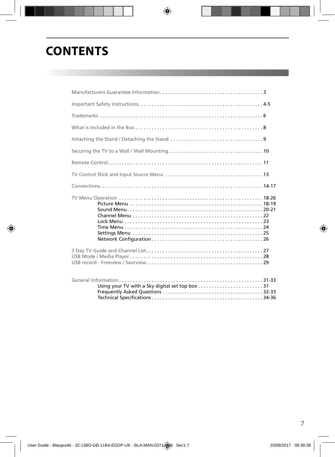# **CONTENTS**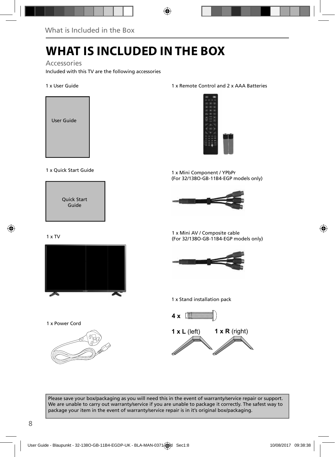# **WHAT IS INCLUDED IN THE BOX**

### Accessories

Included with this TV are the following accessories

### 1 x User Guide



### 1 x Quick Start Guide



### $1 \times TV$



1 x Power Cord



### 1 x Remote Control and 2 x AAA Batteries



1 x Mini Component / YPbPr (For 32/138O-GB-11B4-EGP models only)



1 x Mini AV / Composite cable (For 32/138O-GB-11B4-EGP models only)



#### 1 x Stand installation pack



**1 x L** (left) **1 x R** (right)

Please save your box/packaging as you will need this in the event of warranty/service repair or support. We are unable to carry out warranty/service if you are unable to package it correctly. The safest way to package your item in the event of warranty/service repair is in it's original box/packaging.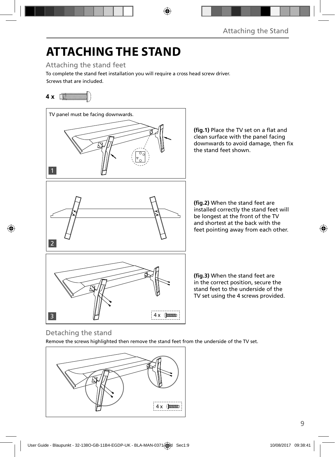# **ATTACHING THE STAND**

Attaching the stand feet

Screws that are included. To complete the stand feet installation you will require a cross head screw driver.

## **4 x**



(fig.1) Place the TV set on a flat and clean surface with the panel facing downwards to avoid damage, then fix

(fig.2) When the stand feet are installed correctly the stand feet will be longest at the front of the TV and shortest at the back with the feet pointing away from each other.

in the correct position, secure the stand feet to the underside of the TV set using the 4 screws provided.

## Detaching the stand

Remove the screws highlighted then remove the stand feet from the underside of the TV set.

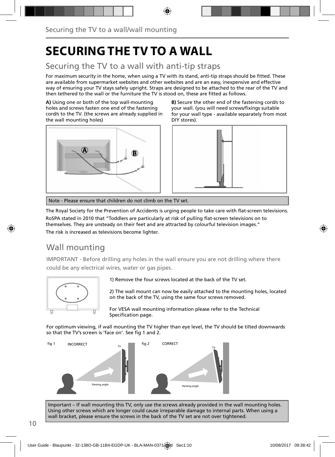# **SECURING THE TV TO A WALL**

## Securing the TV to a wall with anti-tip straps

For maximum security in the home, when using a TV with its stand, anti-tip straps should be fitted. These are available from supermarket websites and other websites and are an easy, inexpensive and effective way of ensuring your TV stays safely upright. Straps are designed to be attached to the rear of the TV and then tethered to the wall or the furniture the TV is stood on, these are fitted as follows.

**A)** Using one or both of the top wall-mounting holes and screws fasten one end of the fastening cord/s to the TV. (the screws are already supplied in the wall mounting holes)



**B)** Secure the other end of the fastening cord/s to your wall. (you will need screws/fixings suitable for your wall type - available separately from most DIY stores).



Note - Please ensure that children do not climb on the TV set.

The Royal Society for the Prevention of Accidents is urging people to take care with flat-screen televisions.

RoSPA stated in 2010 that "Toddlers are particularly at risk of pulling flat-screen televisions on to themselves. They are unsteady on their feet and are attracted by colourful television images."

The risk is increased as televisions become lighter.

## Wall mounting

IMPORTANT - Before drilling any holes in the wall ensure you are not drilling where there could be any electrical wires, water or gas pipes.



1) Remove the four screws located at the back of the TV set.

2) The wall mount can now be easily attached to the mounting holes, located on the back of the TV, using the same four screws removed.

For VESA wall mounting information please refer to the Technical Specification page.

For optimum viewing, if wall mounting the TV higher than eye level, the TV should be tilted downwards so that the TV's screen is 'face on'. See fig 1 and 2.



Important – If wall mounting this TV, only use the screws already provided in the wall mounting holes. Using other screws which are longer could cause irreparable damage to internal parts. When using a wall bracket, please ensure the screws in the back of the TV set are not over tightened.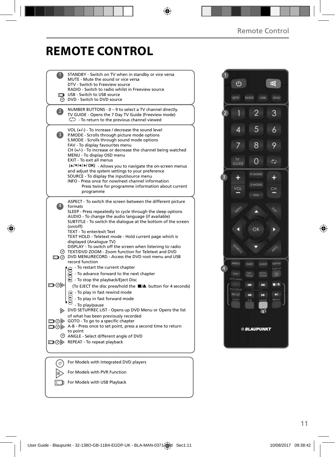# **REMOTE CONTROL**

| STANDBY - Switch on TV when in standby or vice versa<br>MUTE - Mute the sound or vice versa<br>DTV - Switch to Freeview source<br>RADIO - Switch to radio whilst in Freeview source                                                                                                                                                                                                                                                                                                                                                                                                                                                           |  |
|-----------------------------------------------------------------------------------------------------------------------------------------------------------------------------------------------------------------------------------------------------------------------------------------------------------------------------------------------------------------------------------------------------------------------------------------------------------------------------------------------------------------------------------------------------------------------------------------------------------------------------------------------|--|
| USB - Switch to USB source<br><b>O</b> DVD - Switch to DVD source                                                                                                                                                                                                                                                                                                                                                                                                                                                                                                                                                                             |  |
| NUMBER BUTTONS - 0 - 9 to select a TV channel directly.<br>$\overline{2}$<br>TV GUIDE - Opens the 7 Day TV Guide (Freeview mode)<br>$\bigcirc$ - To return to the previous channel viewed                                                                                                                                                                                                                                                                                                                                                                                                                                                     |  |
| VOL (+/-) - To increase / decrease the sound level<br>3)<br>P.MODE - Scrolls through picture mode options<br>S.MODE - Scrolls through sound mode options<br>FAV - To display favourites menu<br>CH (+/-) - To increase or decrease the channel being watched<br>MENU - To display OSD menu<br>EXIT - To exit all menus                                                                                                                                                                                                                                                                                                                        |  |
| (A/V/4/M/OK) - Allows you to navigate the on-screen menus<br>and adjust the system settings to your preference<br>SOURCE - To display the input/source menu<br>INFO - Press once for now/next channel information<br>Press twice for programme information about current<br>programme                                                                                                                                                                                                                                                                                                                                                         |  |
| ASPECT - To switch the screen between the different picture<br>$\vert$<br>formats<br>SLEEP - Press repeatedly to cycle through the sleep options<br>AUDIO - To change the audio language (if available)<br>SUBTITLE - To switch the dialogue at the bottom of the screen<br>(on/off)<br>TEXT - To enter/exit Text<br>TEXT HOLD - Teletext mode - Hold current page which is<br>displayed (Analoque TV)<br>DISPLAY - To switch off the screen when listening to radio                                                                                                                                                                          |  |
| TEXT/DVD ZOOM - Zoom function for Teletext and DVD<br>DVD MENU/RECORD - Access the DVD root menu and USB<br>record function                                                                                                                                                                                                                                                                                                                                                                                                                                                                                                                   |  |
| - To restart the current chapter<br>$\bullet$ - To advance forward to the next chapter<br><b>B</b> - To stop the playback/Eject Disc<br>య⊚⊡<br>(To EJECT the disc press/hold the ■▲ button for 4 seconds)<br>(4) - To play in fast rewind mode<br>(⊶<br>- To play in fast forward mode<br>- To play/pause<br>DVD SETUP/REC LIST - Opens up DVD Menu or Opens the list<br>of what has been previously recorded<br>$\Box$ $\odot$ $\triangleright$ GOTO - To go to a specific chapter<br>A-B - Press once to set point, press a second time to return<br>to point<br>ANGLE - Select different angle of DVD<br>□ ⑦ 》 REPEAT - To repeat playback |  |
|                                                                                                                                                                                                                                                                                                                                                                                                                                                                                                                                                                                                                                               |  |
| For Models with Integrated DVD players                                                                                                                                                                                                                                                                                                                                                                                                                                                                                                                                                                                                        |  |
| For Models with PVR Function                                                                                                                                                                                                                                                                                                                                                                                                                                                                                                                                                                                                                  |  |

 $F$  For Models with USB Playback

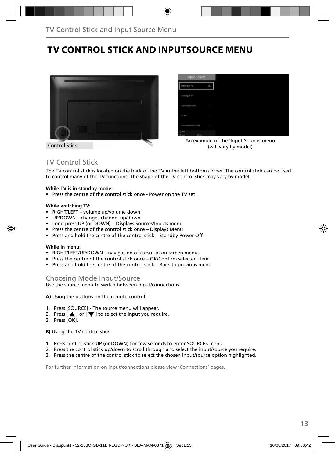# **TV CONTROL STICK AND INPUTSOURCE MENU**



Control Stick

| Input Source       |              |
|--------------------|--------------|
| <b>Freeview TV</b> | LE3          |
| Analogue TV        |              |
| Composite / AV     |              |
| SCART              |              |
| Component / YPbPs  |              |
| <b>Cities</b>      | <b>SICHA</b> |

An example of the 'Input Source' menu (will vary by model)

## TV Control Stick

The TV control stick is located on the back of the TV in the left bottom corner. The control stick can be used to control many of the TV functions. The shape of the TV control stick may vary by model.

### **While TV is in standby mode:**

• Press the centre of the control stick once - Power on the TV set

#### **While watching TV:**

- RIGHT/LEFT volume up/volume down
- UP/DOWN changes channel up/down
- Long press UP (or DOWN) Displays Sources/Inputs menu
- Press the centre of the control stick once Displays Menu
- Press and hold the centre of the control stick Standby Power Off

#### **While in menu:**

- RIGHT/LEFT/UP/DOWN navigation of cursor in on-screen menus
- Press the centre of the control stick once OK/Confirm selected item
- Press and hold the centre of the control stick Back to previous menu

### Choosing Mode Input/Source

Use the source menu to switch between input/connections.

**A)** Using the buttons on the remote control:

- 1. Press [SOURCE] The source menu will appear.
- 2. Press  $\left[\right]$  or  $\left[\right]$  to select the input you require.
- 3. Press [OK].

**B)** Using the TV control stick:

- 1. Press control stick UP (or DOWN) for few seconds to enter SOURCES menu.
- 2. Press the control stick up/down to scroll through and select the input/source you require.
- 3. Press the centre of the control stick to select the chosen input/source option highlighted.

For further information on input/connections please view 'Connections' pages.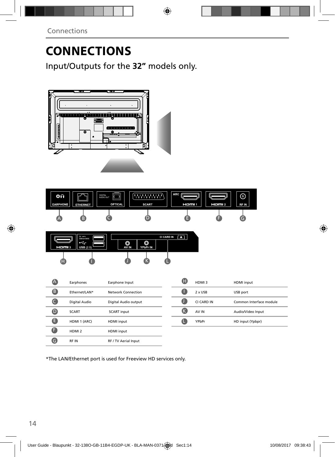Input/Outputs for the **32"** models only.





\*The LAN/Ethernet port is used for Freeview HD services only.

RF IN RF / TV Aerial Input

G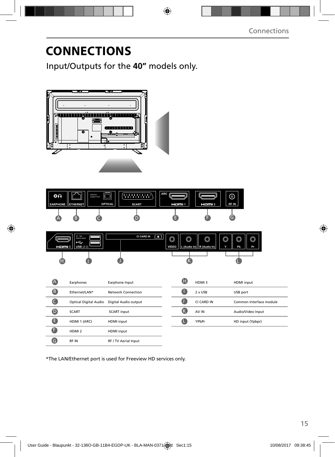Input/Outputs for the **40"** models only.



| ೦೧                         | محصد | <b>DIGITAL</b><br>Æ<br>K<br>AUDIO OUT |              | <b>ARC</b> |        | ര           |
|----------------------------|------|---------------------------------------|--------------|------------|--------|-------------|
| <b>EARPHONE   ETHERNET</b> |      | <b>OPTICAL</b>                        | <b>SCART</b> | Hami 1     | HOMI 2 | <b>RFIN</b> |
| $\overline{\mathbf{A}}$    |      |                                       |              |            |        |             |



| $\overline{\mathbb{A}}$ | Earphones                    | Earphone Input       | O  | HDMI3      | <b>HDMI</b> input       |
|-------------------------|------------------------------|----------------------|----|------------|-------------------------|
| 6                       | Ethernet/LAN*                | Network Connection   |    | 2 x USB    | USB port                |
| C                       | <b>Optical Digital Audio</b> | Digital Audio output |    | CI CARD IN | Common Interface module |
| $\boldsymbol{0}$        | <b>SCART</b>                 | <b>SCART</b> input   | (k | AV IN      | Audio/Video Input       |
| G                       | HDMI 1 (ARC)                 | HDMI input           | œ  | YPbPr      | HD input (Ypbpr)        |
| a                       | HDMI <sub>2</sub>            | HDMI input           |    |            |                         |
| G                       | <b>RFIN</b>                  | RF / TV Aerial Input |    |            |                         |

\*The LAN/Ethernet port is used for Freeview HD services only.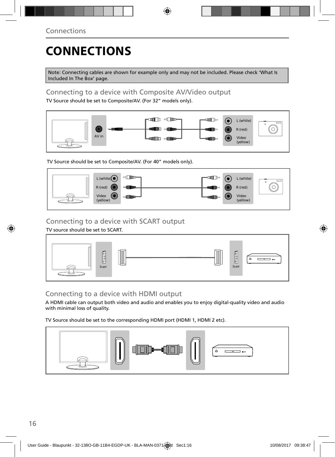Note: Connecting cables are shown for example only and may not be included. Please check 'What Is Included In The Box' page.

## Connecting to a device with Composite AV/Video output

TV Source should be set to Composite/AV. (For 32" models only).



TV Source should be set to Composite/AV. (For 40" models only).



## Connecting to a device with SCART output

TV source should be set to SCART.



## Connecting to a device with HDMI output

A HDMI cable can output both video and audio and enables you to enjoy digital-quality video and audio with minimal loss of quality.

TV Source should be set to the corresponding HDMI port (HDMI 1, HDMI 2 etc).

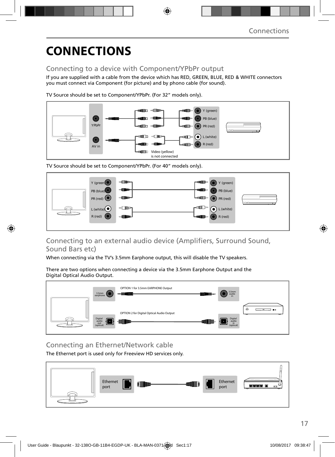## Connecting to a device with Component/YPbPr output

If you are supplied with a cable from the device which has RED, GREEN, BLUE, RED & WHITE connectors you must connect via Component (for picture) and by phono cable (for sound).

TV Source should be set to Component/YPbPr. (For 32" models only).



TV Source should be set to Component/YPbPr. (For 40" models only).



## Connecting to an external audio device (Amplifiers, Surround Sound, Sound Bars etc)

When connecting via the TV's 3.5mm Earphone output, this will disable the TV speakers.

There are two options when connecting a device via the 3.5mm Earphone Output and the Digital Optical Audio Output.



## Connecting an Ethernet/Network cable

The Ethernet port is used only for Freeview HD services only.

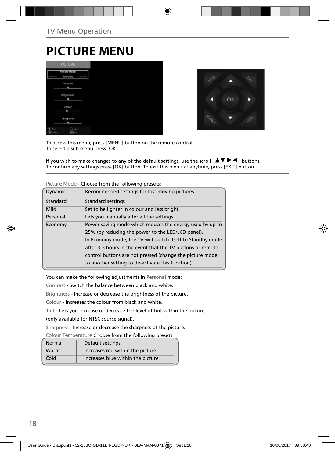# **PICTURE MENU**

|                      | <b>PICTURE</b>                 | us:            |
|----------------------|--------------------------------|----------------|
| Personal             | <b>Picture Mode</b><br>Economy | <b>Parties</b> |
|                      | Contrast<br>ı                  |                |
|                      | Brightness<br>m                |                |
|                      | Colour<br>ı                    |                |
|                      | Sharpness<br>٠                 |                |
| (C) Move<br>OK Tench | <b>Caldidat</b><br>tori Call   |                |



To access this menu, press [MENU] button on the remote control. To select a sub menu press [OK]

If you wish to make changes to any of the default settings, use the scroll  $\Box \Box \blacktriangleright \blacktriangleleft$  buttons. To confirm any settings press [OK] button. To exit this menu at anytime, press [EXIT] button.

| 11 10 LUI U 11 10 U U | CHOOSE HOTH LITE TOHOWING DIESELS.                         |
|-----------------------|------------------------------------------------------------|
| Dynamic               | Recommended settings for fast moving pictures              |
| Standard              | <b>Standard settings</b>                                   |
| Mild                  | Set to be lighter in colour and less bright                |
| Personal              | Lets you manually alter all the settings                   |
| Economy               | Power saving mode which reduces the energy used by up to   |
|                       | 25% (by reducing the power to the LED/LCD panel).          |
|                       | In Economy mode, the TV will switch itself to Standby mode |
|                       | after 3-5 hours in the event that the TV buttons or remote |
|                       | control buttons are not pressed (change the picture mode   |
|                       | to another setting to de-activate this function)           |
|                       |                                                            |

**Picture Mode** - Choose from the following presets:

You can make the following adjustments in **Personal** mode:

Contrast - Switch the balance between black and white.

Brightness - Increase or decrease the brightness of the picture.

Colour - Increases the colour from black and white.

Tint - Lets you increase or decrease the level of tint within the picture

(only available for NTSC source signal).

Sharpness - Increase or decrease the sharpness of the picture.

**Colour Temperature** Choose from the following presets:

| Normal | Default settings                  |
|--------|-----------------------------------|
| Warm   | Increases red within the picture  |
| Cold   | Increases blue within the picture |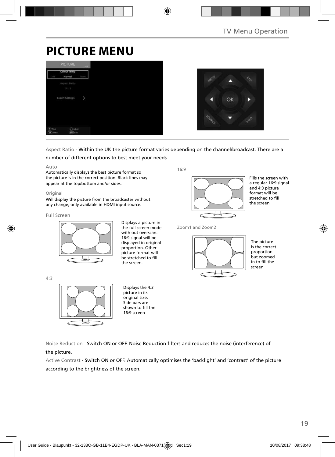# **PICTURE MENU**





Aspect Ratio - Within the UK the picture format varies depending on the channel/broadcast. There are a

number of different options to best meet your needs

#### Auto

Automatically displays the best picture format so the picture is in the correct position. Black lines may appear at the top/bottom and/or sides.

#### Original

Will display the picture from the broadcaster without any change, only available in HDMI input source.

#### Full Screen

4:3



Displays a picture in the full screen mode with out overscan. 16:9 signal will be displayed in original proportion. Other picture format will be stretched to fill the screen.

16:9



Fills the screen with a regular 16:9 signal and 4:3 picture format will be stretched to fill the screen

Zoom1 and Zoom2



The picture is the correct proportion but zoomed  $\overline{\phantom{a}}$  in to fill the screen

Displays the 4:3 picture in its original size. Side bars are shown to fill the 16:9 screen

Noise Reduction - Switch ON or OFF. Noise Reduction filters and reduces the noise (interference) of the picture.

Active Contrast - Switch ON or OFF. Automatically optimises the 'backlight' and 'contrast' of the picture according to the brightness of the screen.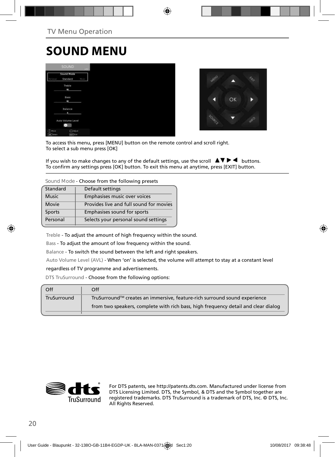# **SOUND MENU**

|                                     | <b>SOUND</b>                      |             |
|-------------------------------------|-----------------------------------|-------------|
|                                     | Sound Mode<br>Standard            | <b>Hury</b> |
|                                     | Treble<br>٠                       |             |
|                                     | Bass<br>۰                         |             |
|                                     | Balance<br>٠                      |             |
|                                     | Auto Volume Level                 |             |
| O<br><b>Hove</b><br><b>OK</b> Tered | <b>CRASHE</b><br><b>Earl Katt</b> |             |



To access this menu, press [MENU] button on the remote control and scroll right. To select a sub menu press [OK]

If you wish to make changes to any of the default settings, use the scroll  $\blacktriangle \blacktriangledown \blacktriangleright \blacktriangleleft$  buttons. To confirm any settings press [OK] button. To exit this menu at anytime, press [EXIT] button.

**Sound Mode** - Choose from the following presets

| Standard     | Default settings                        |
|--------------|-----------------------------------------|
| <b>Music</b> | Emphasises music over voices            |
| Movie        | Provides live and full sound for movies |
| Sports       | Emphasises sound for sports             |
| Personal     | Selects your personal sound settings    |

Treble - To adjust the amount of high frequency within the sound.

Bass - To adjust the amount of low frequency within the sound.

Balance - To switch the sound between the left and right speakers.

Auto Volume Level (AVL) - When 'on' is selected, the volume will attempt to stay at a constant level

#### regardless of TV programme and advertisements.

DTS TruSurround - Choose from the following options:

| Off         | Off                                                                                |
|-------------|------------------------------------------------------------------------------------|
| TruSurround | TruSurround™ creates an immersive, feature-rich surround sound experience          |
|             | from two speakers, complete with rich bass, high frequency detail and clear dialog |
|             |                                                                                    |



For DTS patents, see http://patents.dts.com. Manufactured under license from DTS Licensing Limited. DTS, the Symbol, & DTS and the Symbol together are registered trademarks. DTS TruSurround is a trademark of DTS, Inc. © DTS, Inc. All Rights Reserved.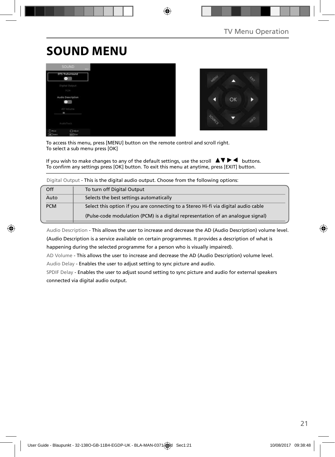# **SOUND MENU**





To access this menu, press [MENU] button on the remote control and scroll right. To select a sub menu press [OK]

If you wish to make changes to any of the default settings, use the scroll  $\Box \blacktriangledown \blacktriangleright \blacktriangleleft$  buttons. To confirm any settings press [OK] button. To exit this menu at anytime, press [EXIT] button.

|            | <b>Digital Output This is the digital additional patput. Choose from the following options.</b> |
|------------|-------------------------------------------------------------------------------------------------|
| Off        | To turn off Digital Output                                                                      |
| Auto       | Selects the best settings automatically                                                         |
| <b>PCM</b> | Select this option if you are connecting to a Stereo Hi-fi via digital audio cable              |
|            | (Pulse-code modulation (PCM) is a digital representation of an analogue signal)                 |

Digital Output - This is the digital audio output. Choose from the following options:

Audio Description - This allows the user to increase and decrease the AD (Audio Description) volume level. (Audio Description is a service available on certain programmes. It provides a description of what is happening during the selected programme for a person who is visually impaired).

AD Volume - This allows the user to increase and decrease the AD (Audio Description) volume level.

Audio Delay - Enables the user to adjust setting to sync picture and audio.

SPDIF Delay - Enables the user to adjust sound setting to sync picture and audio for external speakers connected via digital audio output.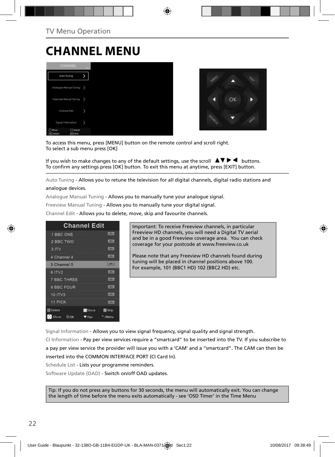# **CHANNEL MENU**





To access this menu, press [MENU] button on the remote control and scroll right. To select a sub menu press [OK]

If you wish to make changes to any of the default settings, use the scroll  $\Box \blacktriangledown \blacktriangleright \blacktriangleleft$  buttons. To confirm any settings press [OK] button. To exit this menu at anytime, press [EXIT] button.

Auto Tuning - Allows you to retune the television for all digital channels, digital radio stations and analogue devices.

Analogue Manual Tuning - Allows you to manually tune your analogue signal.

Freeview Manual Tuning - Allows you to manually tune your digital signal.

Channel Edit - Allows you to delete, move, skip and favourite channels.

|                    | <b>Channel Edit</b> |                |
|--------------------|---------------------|----------------|
| 1 BBC ONE          |                     | <b>LIBRARY</b> |
| 2 BBC TWO          |                     | 1276           |
| 3 ITV              |                     | 1,0741         |
| 4 Channel 4        |                     | <b>LIDENA</b>  |
| 5 Channel 5        |                     | $E = 1$        |
| 6 ITV2             |                     | $+0001$        |
| <b>7 BBC THREE</b> |                     | <b>LOTH</b>    |
| 9 BBC FOUR         |                     | <b>DV</b>      |
| 10 ITV3            |                     | <b>COTWIL</b>  |
| <b>11 PICK</b>     |                     | <b>COTY !!</b> |
| <b>Delete</b>      | <b>Move</b>         | <b>Skip</b>    |
| Move OOK           | • Fav               | Menu           |

Important: To receive Freeview channels, in particular Freeview HD channels, you will need a Digital TV aerial and be in a good Freeview coverage area. You can check coverage for your postcode at www.freeview.co.uk

Please note that any Freeview HD channels found during tuning will be placed in channel positions above 100. For example, 101 (BBC1 HD) 102 (BBC2 HD) etc.

Signal Information - Allows you to view signal frequency, signal quality and signal strength.

CI Information - Pay per view services require a "smartcard" to be inserted into the TV. If you subscribe to a pay per view service the provider will issue you with a 'CAM' and a "smartcard". The CAM can then be inserted into the COMMON INTERFACE PORT (CI Card In).

Schedule List - Lists your programme reminders.

Software Update (OAD) - Switch on/off OAD updates.

Tip: If you do not press any buttons for 30 seconds, the menu will automatically exit. You can change the length of time before the menu exits automatically - see 'OSD Timer' in the Time Menu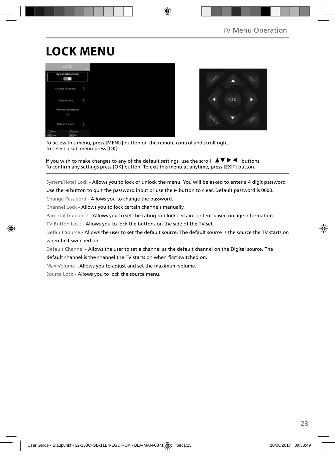# **LOCK MENU**





To access this menu, press [MENU] button on the remote control and scroll right. To select a sub menu press [OK]

If you wish to make changes to any of the default settings, use the scroll  $\blacktriangle \blacktriangledown \blacktriangleright \blacktriangleleft$  buttons. To confirm any settings press [OK] button. To exit this menu at anytime, press [EXIT] button.

System/Hotel Lock - Allows you to lock or unlock the menu. You will be asked to enter a 4 digit password

Use the **◄** button to quit the password input or use the **►** button to clear. Default password is 0000.

Change Password - Allows you to change the password.

Channel Lock - Allows you to lock certain channels manually.

Parental Guidance - Allows you to set the rating to block certain content based on age information.

TV Button Lock - Allows you to lock the buttons on the side of the TV set.

Default Source - Allows the user to set the default source. The default source is the source the TV starts on when first switched on.

Default Channel - Allows the user to set a channel as the default channel on the Digital source. The

default channel is the channel the TV starts on when first switched on.

Max Volume - Allows you to adjust and set the maximum volume.

Source Lock - Allows you to lock the source menu.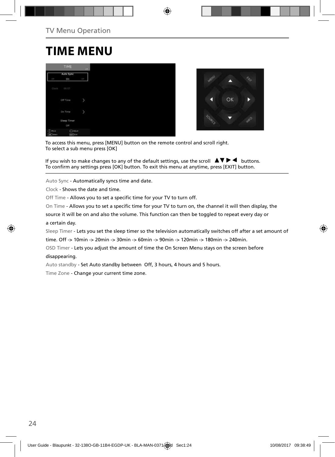# **TIME MENU**





To access this menu, press [MENU] button on the remote control and scroll right. To select a sub menu press [OK]

If you wish to make changes to any of the default settings, use the scroll  $\blacktriangle \blacktriangledown \blacktriangleright \blacktriangleleft$  buttons. To confirm any settings press [OK] button. To exit this menu at anytime, press [EXIT] button.

Auto Sync - Automatically syncs time and date.

Clock - Shows the date and time.

Off Time - Allows you to set a specific time for your TV to turn off.

On Time - Allows you to set a specific time for your TV to turn on, the channel it will then display, the

source it will be on and also the volume. This function can then be toggled to repeat every day or a certain day.

Sleep Timer - Lets you set the sleep timer so the television automatically switches off after a set amount of

time. Off -> 10min -> 20min -> 30min -> 60min -> 90min -> 120min -> 180min -> 240min.

OSD Timer - Lets you adjust the amount of time the On Screen Menu stays on the screen before disappearing.

Auto standby - Set Auto standby between Off, 3 hours, 4 hours and 5 hours.

Time Zone - Change your current time zone.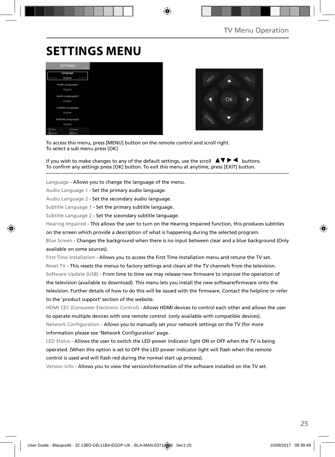# **SETTINGS MENU**





To access this menu, press [MENU] button on the remote control and scroll right. To select a sub menu press [OK]

If you wish to make changes to any of the default settings, use the scroll  $\blacktriangle \blacktriangledown \blacktriangleright \blacktriangleleft$  buttons. To confirm any settings press [OK] button. To exit this menu at anytime, press [EXIT] button.

Language - Allows you to change the language of the menu.

Audio Language 1 - Set the primary audio language.

Audio Language 2 - Set the secondary audio language.

Subtitle Language 1 - Set the primary subtitle language.

Subtitle Language 2 - Set the sceondary subtitle language.

Hearing Impaired - This allows the user to turn on the Hearing Impaired function, this produces subtitles

on the screen which provide a description of what is happening during the selected program.

Blue Screen - Changes the background when there is no input between clear and a blue background (Only available on some sources).

First Time Installation - Allows you to access the First Time Installation menu and retune the TV set. Reset TV - This resets the menus to factory settings and clears all the TV channels from the television. Software Update (USB) - From time to time we may release new firmware to improve the operation of the television (available to download). This menu lets you install the new software/firmware onto the television. Further details of how to do this will be issued with the firmware. Contact the helpline or refer to the 'product support' section of the website.

HDMI CEC (Consumer Electronic Control) - Allows HDMI devices to control each other and allows the user to operate multiple devices with one remote control. (only available with compatible devices). Network Configuration - Allows you to manually set your network settings on the TV (for more information please see 'Network Configuration' page.

LED Status - Allows the user to switch the LED power indicator light ON or OFF when the TV is being operated. (When this option is set to OFF the LED power indicator light will flash when the remote control is used and will flash red during the normal start up process).

Version info - Allows you to view the version/information of the software installed on the TV set.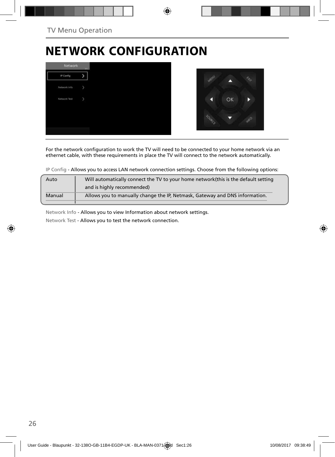# **NETWORK CONFIGURATION**



For the network configuration to work the TV will need to be connected to your home network via an ethernet cable, with these requirements in place the TV will connect to the network automatically.

IP Config - Allows you to access LAN network connection settings. Choose from the following options:

| Auto   | Will automatically connect the TV to your home network (this is the default setting |
|--------|-------------------------------------------------------------------------------------|
|        | and is highly recommended)                                                          |
| Manual | Allows you to manually change the IP, Netmask, Gateway and DNS information.         |
|        |                                                                                     |

Network Info - Allows you to view Information about network settings.

Network Test - Allows you to test the network connection.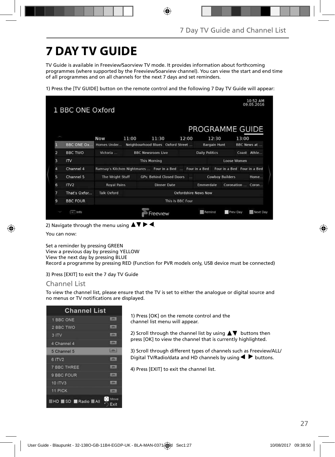# **7 DAY TV GUIDE**

TV Guide is available in Freeview/Saorview TV mode. It provides information about forthcoming programmes (where supported by the Freeview/Soarview channel). You can view the start and end time of all programmes and on all channels for the next 7 days and set reminders.

1) Press the [TV GUIDE] button on the remote control and the following 7 Day TV Guide will appear:

|                | 1 BBC ONE Oxford  |                    |       |                                            |                  |                             |                        |                             | 10:52 AM<br>09.05.2016 |
|----------------|-------------------|--------------------|-------|--------------------------------------------|------------------|-----------------------------|------------------------|-----------------------------|------------------------|
|                |                   |                    |       |                                            |                  | PROGRAMME GUIDE             |                        |                             |                        |
|                |                   | <b>Now</b>         | 11:00 | 11:30                                      | 12:00            |                             | 12:30                  | 13:00                       |                        |
| П              | <b>BBC ONE Ox</b> | Homes Under        |       | Neighbourhood Blues Oxford Street          |                  |                             | <b>Bargain Hunt</b>    |                             | BBC News at            |
| $\overline{a}$ | <b>BBC TWO</b>    | Victoria           |       | <b>BBC Newsroom Live</b>                   |                  | <b>Daily Politics</b>       |                        |                             | Coast Athle            |
| 3              | $\overline{1}$    |                    |       | <b>This Morning</b>                        |                  |                             |                        | Loose Women                 |                        |
| 4              | Channel 4         |                    |       | Ramsay's Kitchen Nightmares  Four in a Bed |                  | Four in a Bed               |                        | Four in a Bed Four in a Bed |                        |
| 5              | Channel 5         | The Wright Stuff   |       | <b>GPs: Behind Closed Doors</b>            | $-111$           |                             | <b>Cowboy Builders</b> |                             | Home                   |
| 6              | ITV <sub>2</sub>  | <b>Royal Pains</b> |       | <b>Dinner Date</b>                         |                  | Emmerdale                   |                        | Coronation Coron            |                        |
| 7              | That's Oxfor      | <b>Talk Oxford</b> |       |                                            |                  | <b>Oxfordshire News Now</b> |                        |                             |                        |
| 9              | <b>BBC FOUR</b>   |                    |       |                                            | This Is BBC Four |                             |                        |                             |                        |
|                | wall info         |                    |       | reeview                                    |                  | Remind                      |                        | <b>Prev Day</b>             | Next Day               |

2) Navigate through the menu using  $\blacktriangle \blacktriangledown \blacktriangleright \blacktriangleleft$ .

You can now:

Set a reminder by pressing GREEN View a previous day by pressing YELLOW View the next day by pressing BLUE Record a programme by pressing RED (Function for PVR models only, USB device must be connected)

3) Press [EXIT] to exit the 7 day TV Guide

### Channel List

To view the channel list, please ensure that the TV is set to either the analogue or digital source and no menus or TV notifications are displayed.

| <b>Channel List</b>          |               |
|------------------------------|---------------|
| 1 BBC ONE                    | <b>CERAL</b>  |
| 2 BBC TWO                    | <b>CERVIC</b> |
| 3 ITV                        | <b>LETVI</b>  |
| 4 Channel 4                  | <b>CIV.</b>   |
| 5 Channel 5                  | <b>Lights</b> |
| 6 ITV2                       | <b>COLL</b>   |
| <b>7 BBC THREE</b>           | <b>CERAL</b>  |
| 9 BBC FOUR                   | <b>STEP</b>   |
| <b>10 ITV3</b>               | <b>SEEKS</b>  |
| <b>11 PICK</b>               | <b>STERS</b>  |
| ĸ<br><b>EHD SD Radio BAI</b> | Move<br>Exit  |

1) Press [OK] on the remote control and the channel list menu will appear.

2) Scroll through the channel list by using  $\blacktriangle \blacktriangledown$  buttons then press [OK] to view the channel that is currently highlighted.

3) Scroll through different types of channels such as Freeview/ALL/ Digital TV/Radio/data and HD channels by using  $\blacklozenge \blacktriangleright$  buttons.

4) Press [EXIT] to exit the channel list.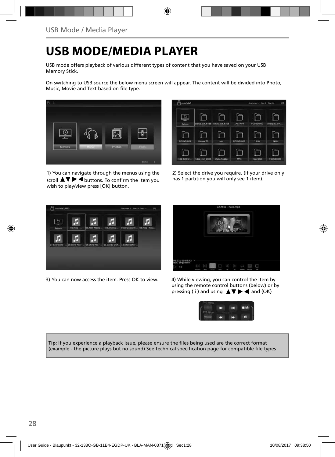# **USB MODE/MEDIA PLAYER**

USB mode offers playback of various different types of content that you have saved on your USB Memory Stick.

On switching to USB source the below menu screen will appear. The content will be divided into Photo, Music, Movie and Text based on file type.



1) You can navigate through the menus using the scroll  $\triangle \triangledown \triangleright \blacktriangleleft$  buttons. To confirm the item you wish to play/view press [OK] button.



2) Select the drive you require. (If your drive only has 1 partition you will only see 1 item).



3) You can now access the item. Press OK to view. 4) While viewing, you can control the item by



using the remote control buttons (below) or by pressing (i) and using  $\triangle \blacktriangledown \blacktriangleright \blacktriangleleft$  and (OK)



**Tip:** If you experience a playback issue, please ensure the files being used are the correct format (example - the picture plays but no sound) See technical specification page for compatible file types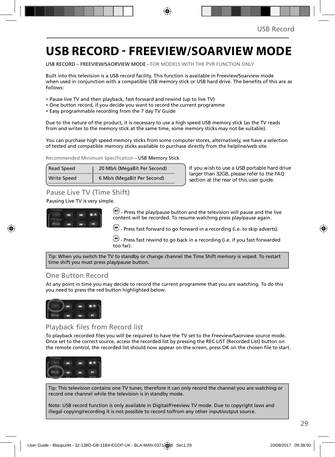# **USB RECORD - FREEVIEW/SOARVIEW MODE**

USB RECORD – FREEVIEW/SAORVIEW MODE - FOR MODELS WITH THE PVR FUNCTION ONLY

Built into this television is a USB record facility. This function is available in Freeview/Soarview mode when used in conjunction with a compatible USB memory stick or USB hard drive. The benefits of this are as follows:

- Pause live TV and then playback, fast forward and rewind (up to live TV)
- One button record, if you decide you want to record the current programme
- Easy programmable recording from the 7 day TV Guide

Due to the nature of the product, it is necessary to use a high speed USB memory stick (as the TV reads from and writes to the memory stick at the same time, some memory sticks may not be suitable).

You can purchase high speed memory sticks from some computer stores, alternatively, we have a selection of tested and compatible memory sticks available to purchase directly from the helpline/web site.

Recommended Minimum Specification - USB Memory Stick

| Read Speed         | 20 Mb/s (MegaBit Per Second) |
|--------------------|------------------------------|
| <b>Write Speed</b> | 6 Mb/s (MegaBit Per Second)  |

**If you wish to use a USB portable hard drive larger than 32GB, please refer to the FAQ section at the rear of this user guide.**

## Pause Live TV (Time Shift)

### Pausing Live TV is very simple.



 $\left(\blacksquare\right)$  - Press the play/pause button and the television will pause and the live content will be recorded. To resume watching press play/pause again.

 $\left(\bullet\right)$  - Press fast forward to go forward in a recording (i.e. to skip adverts).

 $\bigcirc$  - Press fast rewind to go back in a recording (i.e. if you fast forwarded too far).

Tip: When you switch the TV to standby or change channel the Time Shift memory is wiped. To restart time shift you must press play/pause button.

## One Button Record

At any point in time you may decide to record the current programme that you are watching. To do this you need to press the red button highlighted below.



## Playback files from Record list

To playback recorded files you will be required to have the TV set to the Freeview/Saorview source mode. Once set to the correct source, access the recorded list by pressing the REC LIST (Recorded List) button on the remote control, the recorded list should now appear on the screen, press OK on the chosen file to start.



Tip: This television contains one TV tuner, therefore it can only record the channel you are watching or record one channel while the television is in standby mode.

Note: USB record function is only available in Digital/Freeview TV mode. Due to copyright laws and illegal copying/recording it is not possible to record to/from any other input/output source.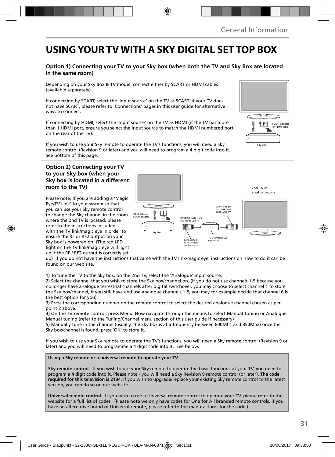# **USING YOUR TV WITH A SKY DIGITAL SET TOP BOX**

### **Option 1) Connecting your TV to your Sky box (when both the TV and Sky Box are located in the same room)**

Depending on your Sky Box & TV model, connect either by SCART or HDMI cables (available separately) .

If connecting by SCART, select the 'Input source' on the TV as SCART. If your TV does not have SCART, please refer to 'Connections' pages in this user guide for alternative ways to connect.

If connecting by HDMI, select the 'Input source' on the TV as HDMI (if the TV has more than 1 HDMI port, ensure you select the input source to match the HDMI numbered port on the rear of the TV).

If you wish to use your Sky remote to operate the TV's functions, you will need a Sky remote control (Revision 9 or later) and you will need to program a 4 digit code into it. See bottom of this page.

### **Option 2) Connecting your TV to your Sky box (when your Sky box is located in a different room to the TV)**

Please note, if you are adding a 'Magic Eye/TV Link' to your system so that you can use your Sky remote control to change the Sky channel in the room where the 2nd TV is located, please refer to the instructions included with the TV link/magic eye in order to ensure the RF or RF2 output on your Sky box is powered on. (The red LED light on the TV link/magic eye will light up if the RF / RF2 output is correctly set



up) If you do not have the instructions that came with the TV link/magic eye, instructions on how to do it can be found on our web site.

1) To tune the TV to the Sky box, on the 2nd TV, select the 'Analogue' input source.

2) Select the channel that you wish to store the Sky box/channel on. (If you do not use channels 1-5 because you no longer have analogue terrestrial channels after digital switchover, you may choose to select channel 1 to store the Sky box/channel, if you still have and use analogue channels 1-5, you may for example decide that channel 6 is the best option for you)

3) Press the corresponding number on the remote control to select the desired analogue channel chosen as per point 2 above.

4) On the TV remote control, press Menu. Now navigate through the menus to select Manual Tuning or Analogue Manual tuning (refer to the Tuning/Channel menu section of this user guide if necessary)

5) Manually tune in the channel (usually, the Sky box is at a frequency between 800Mhz and 850Mhz) once the Sky box/channel is found, press 'OK' to store it.

If you wish to use your Sky remote to operate the TV's functions, you will need a Sky remote control (Revision 9 or later) and you will need to programme a 4 digit code into it. See below.

**Using a Sky remote or a universal remote to operate your TV** 

**Sky remote control** - If you wish to use your Sky remote to operate the basic functions of your TV, you need to program a 4 digit code into it. Please note - you will need a Sky Revision 9 remote control (or later). **The code required for this television is 2134.** If you wish to upgrade/replace your existing Sky remote control to the latest version, you can do so on our website.

**Universal remote control** - If you wish to use a Universal remote control to operate your TV, please refer to the website for a full list of codes. (Please note we only have codes for One for All branded remote controls, if you have an alternative brand of Universal remote, please refer to the manufacturer for the code.)

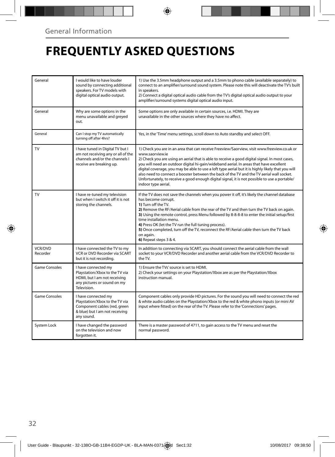# **FREQUENTLY ASKED QUESTIONS**

| General                    | I would like to have louder<br>sound by connecting additional<br>speakers. For TV models with<br>digital optical audio output.        | 1) Use the 3.5mm headphone output and a 3.5mm to phono cable (available separately) to<br>connect to an amplifier/surround sound system. Please note this will deactivate the TV's built<br>in speakers.<br>2) Connect a digital optical audio cable from the TV's digital optical audio output to your<br>amplifier/surround systems digital optical audio input.                                                                                                                                                                                                                                                                  |
|----------------------------|---------------------------------------------------------------------------------------------------------------------------------------|-------------------------------------------------------------------------------------------------------------------------------------------------------------------------------------------------------------------------------------------------------------------------------------------------------------------------------------------------------------------------------------------------------------------------------------------------------------------------------------------------------------------------------------------------------------------------------------------------------------------------------------|
| General                    | Why are some options in the<br>menu unavailable and greyed<br>out.                                                                    | Some options are only available in certain sources, i.e. HDMI. They are<br>unavailable in the other sources where they have no affect.                                                                                                                                                                                                                                                                                                                                                                                                                                                                                              |
| General                    | Can I stop my TV automatically<br>turning off after 4hrs?                                                                             | Yes, in the 'Time' menu settings, scroll down to Auto standby and select OFF.                                                                                                                                                                                                                                                                                                                                                                                                                                                                                                                                                       |
| <b>TV</b>                  | I have tuned in Digital TV but I<br>am not receiving any or all of the<br>channels and/or the channels I<br>receive are breaking up.  | 1) Check you are in an area that can receive Freeview/Saorview, visit www.freeview.co.uk or<br>www.saorview.ie<br>2) Check you are using an aerial that is able to receive a good digital signal. In most cases,<br>you will need an outdoor digital hi-gain/wideband aerial. In areas that have excellent<br>digital coverage, you may be able to use a loft type aerial but it is highly likely that you will<br>also need to connect a booster between the back of the TV and the TV aerial wall socket.<br>Unfortunately, to receive a good enough digital signal, it is not possible to use a portable/<br>indoor type aerial. |
| TV                         | I have re-tuned my television<br>but when I switch it off it is not<br>storing the channels.                                          | If the TV does not save the channels when you power it off, it's likely the channel database<br>has become corrupt.<br>1) Turn off the TV.<br>2) Remove the RF/Aerial cable from the rear of the TV and then turn the TV back on again.<br>3) Using the remote control, press Menu followed by 8-8-8-8 to enter the initial setup/first<br>time installation menu.<br>4) Press OK (let the TV run the full tuning process).<br>5) Once completed, turn off the TV, reconnect the RF/Aerial cable then turn the TV back<br>on again.<br>6) Repeat steps 3 & 4.                                                                       |
| <b>VCR/DVD</b><br>Recorder | I have connected the TV to my<br>VCR or DVD Recorder via SCART<br>but it is not recording.                                            | In addition to connecting via SCART, you should connect the aerial cable from the wall<br>socket to your VCR/DVD Recorder and another aerial cable from the VCR/DVD Recorder to<br>the TV.                                                                                                                                                                                                                                                                                                                                                                                                                                          |
| Game Consoles              | I have connected my<br>Playstation/Xbox to the TV via<br>HDMI, but I am not receiving<br>any pictures or sound on my<br>Television.   | 1) Ensure the TVs' source is set to HDMI.<br>2) Check your settings on your Playstation/Xbox are as per the Playstation/Xbox<br>instruction manual.                                                                                                                                                                                                                                                                                                                                                                                                                                                                                 |
| <b>Game Consoles</b>       | I have connected my<br>Playstation/Xbox to the TV via<br>Component cables (red, green<br>& blue) but I am not receiving<br>any sound. | Component cables only provide HD pictures. For the sound you will need to connect the red<br>& white audio cables on the Playstation/Xbox to the red & white phono inputs (or mini AV<br>input where fitted) on the rear of the TV. Please refer to the 'Connections' pages.                                                                                                                                                                                                                                                                                                                                                        |
| System Lock                | I have changed the password<br>on the television and now<br>forgotten it.                                                             | There is a master password of 4711, to gain access to the TV menu and reset the<br>normal password.                                                                                                                                                                                                                                                                                                                                                                                                                                                                                                                                 |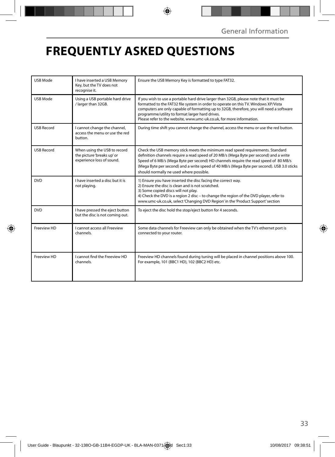# **FREQUENTLY ASKED QUESTIONS**

| <b>USB Mode</b>   | I have inserted a USB Memory<br>Key, but the TV does not<br>recognise it.               | Ensure the USB Memory Key is formatted to type FAT32.                                                                                                                                                                                                                                                                                                                                                     |
|-------------------|-----------------------------------------------------------------------------------------|-----------------------------------------------------------------------------------------------------------------------------------------------------------------------------------------------------------------------------------------------------------------------------------------------------------------------------------------------------------------------------------------------------------|
| <b>USB Mode</b>   | Using a USB portable hard drive<br>/ larger than 32GB.                                  | If you wish to use a portable hard drive larger than 32GB, please note that it must be<br>formatted to the FAT32 file system in order to operate on this TV. Windows XP/Vista<br>computers are only capable of formatting up to 32GB, therefore, you will need a software<br>programme/utility to format larger hard drives.<br>Please refer to the website, www.umc-uk.co.uk, for more information.      |
| <b>USB Record</b> | I cannot change the channel,<br>access the menu or use the red<br>button.               | During time shift you cannot change the channel, access the menu or use the red button.                                                                                                                                                                                                                                                                                                                   |
| <b>USB Record</b> | When using the USB to record<br>the picture 'breaks up' or<br>experience loss of sound. | Check the USB memory stick meets the minimum read speed requirements. Standard<br>definition channels require a read speed of 20 MB/s (Mega Byte per second) and a write<br>Speed of 6 MB/s (Mega Byte per second) HD channels require the read speed of 80 MB/s<br>(Mega Byte per second) and a write speed of 40 MB/s (Mega Byte per second). USB 3.0 sticks<br>should normally ne used where possible. |
| <b>DVD</b>        | I have inserted a disc but it is<br>not playing.                                        | 1) Ensure you have inserted the disc facing the correct way.<br>2) Ensure the disc is clean and is not scratched.<br>3) Some copied discs will not play.<br>4) Check the DVD is a region 2 disc - to change the region of the DVD player, refer to<br>www.umc-uk.co.uk, select 'Changing DVD Region' in the 'Product Support' section                                                                     |
| <b>DVD</b>        | I have pressed the eject button<br>but the disc is not coming out.                      | To eject the disc hold the stop/eject button for 4 seconds.                                                                                                                                                                                                                                                                                                                                               |
| Freeview HD       | Lcannot access all Freeview<br>channels                                                 | Some data channels for Freeview can only be obtained when the TV's ethernet port is<br>connected to your router.                                                                                                                                                                                                                                                                                          |
| Freeview HD       | I cannot find the Freeview HD<br>channels.                                              | Freeview HD channels found during tuning will be placed in channel positions above 100.<br>For example, 101 (BBC1 HD), 102 (BBC2 HD) etc.                                                                                                                                                                                                                                                                 |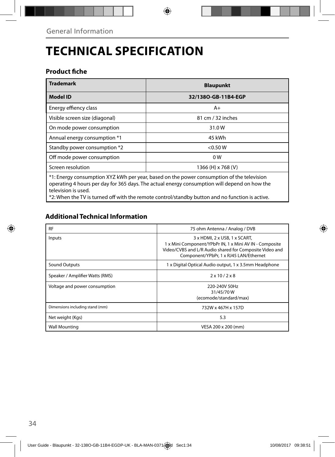# **TECHNICAL SPECIFICATION**

## **Product fiche**

| <b>Trademark</b>                                                                          | <b>Blaupunkt</b>    |  |
|-------------------------------------------------------------------------------------------|---------------------|--|
| <b>Model ID</b>                                                                           | 32/1380-GB-11B4-EGP |  |
| Energy effiency class                                                                     | $A+$                |  |
| Visible screen size (diagonal)                                                            | 81 cm / 32 inches   |  |
| On mode power consumption                                                                 | 31.0W               |  |
| Annual energy consumption *1                                                              | 45 kWh              |  |
| Standby power consumption *2                                                              | < 0.50 W            |  |
| Off mode power consumption                                                                | 0 <sub>W</sub>      |  |
| Screen resolution                                                                         | 1366 (H) x 768 (V)  |  |
| *1: Energy consumption XYZ kWh per year, based on the power consumption of the television |                     |  |

operating 4 hours per day for 365 days. The actual energy consumption will depend on how the television is used.

\*2: When the TV is turned off with the remote control/standby button and no function is active.

## **Additional Technical Information**

| <b>RF</b>                       | 75 ohm Antenna / Analog / DVB                                                                                                                                                                                      |
|---------------------------------|--------------------------------------------------------------------------------------------------------------------------------------------------------------------------------------------------------------------|
| Inputs                          | $3 \times$ HDMI, $2 \times$ USB, $1 \times$ SCART,<br>1 x Mini Component/YPbPr IN, 1 x Mini AV IN - Composite<br>Video/CVBS and L/R Audio shared for Composite Video and<br>Component/YPbPr, 1 x RJ45 LAN/Ethernet |
| <b>Sound Outputs</b>            | 1 x Digital Optical Audio output, 1 x 3.5mm Headphone                                                                                                                                                              |
| Speaker / Amplifier Watts (RMS) | $2 \times 10 / 2 \times 8$                                                                                                                                                                                         |
| Voltage and power consumption   | 220-240V 50Hz<br>31/45/70W<br>(ecomode/standard/max)                                                                                                                                                               |
| Dimensions including stand (mm) | 732W x 467H x 157D                                                                                                                                                                                                 |
| Net weight (Kgs)                | 5.3                                                                                                                                                                                                                |
| <b>Wall Mounting</b>            | VESA 200 x 200 (mm)                                                                                                                                                                                                |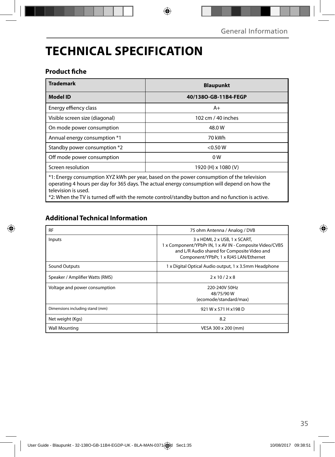# **TECHNICAL SPECIFICATION**

## **Product fiche**

| <b>Trademark</b>                                                                          | <b>Blaupunkt</b>     |  |  |
|-------------------------------------------------------------------------------------------|----------------------|--|--|
| <b>Model ID</b>                                                                           | 40/1380-GB-11B4-FEGP |  |  |
| Energy effiency class                                                                     | $A+$                 |  |  |
| Visible screen size (diagonal)                                                            | 102 cm / 40 inches   |  |  |
| On mode power consumption                                                                 | 48.0 W               |  |  |
| Annual energy consumption *1                                                              | 70 kWh               |  |  |
| Standby power consumption *2                                                              | < 0.50 W             |  |  |
| Off mode power consumption                                                                | 0 W                  |  |  |
| Screen resolution                                                                         | 1920 (H) x 1080 (V)  |  |  |
| *1: Energy consumption XYZ kWh per year, based on the power consumption of the television |                      |  |  |

operating 4 hours per day for 365 days. The actual energy consumption will depend on how the television is used.

\*2: When the TV is turned off with the remote control/standby button and no function is active.

## **Additional Technical Information**

| <b>RF</b>                       | 75 ohm Antenna / Analog / DVB                                                                                                                                                      |
|---------------------------------|------------------------------------------------------------------------------------------------------------------------------------------------------------------------------------|
| Inputs                          | 3 x HDML 2 x USB, 1 x SCART,<br>1 x Component/YPbPr IN, 1 x AV IN - Composite Video/CVBS<br>and L/R Audio shared for Composite Video and<br>Component/YPbPr, 1 x RJ45 LAN/Ethernet |
| Sound Outputs                   | 1 x Digital Optical Audio output, 1 x 3.5mm Headphone                                                                                                                              |
| Speaker / Amplifier Watts (RMS) | $2 \times 10 / 2 \times 8$                                                                                                                                                         |
| Voltage and power consumption   | 220-240V 50Hz<br>48/75/90 W<br>(ecomode/standard/max)                                                                                                                              |
| Dimensions including stand (mm) | 921 W x 571 H x 198 D                                                                                                                                                              |
| Net weight (Kgs)                | 8.2                                                                                                                                                                                |
| <b>Wall Mounting</b>            | VESA 300 x 200 (mm)                                                                                                                                                                |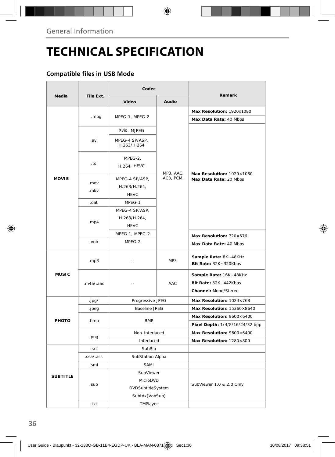# **TECHNICAL SPECIFICATION**

## **Compatible files in USB Mode**

|                 |           | Codec                                         |           |                                                                         |  |
|-----------------|-----------|-----------------------------------------------|-----------|-------------------------------------------------------------------------|--|
| Media           | File Ext. | Video                                         | Audio     | Remark                                                                  |  |
|                 |           |                                               |           | Max Resolution: 1920x1080                                               |  |
|                 | .mpg      | MPEG-1, MPEG-2                                |           | Max Data Rate: 40 Mbps                                                  |  |
|                 |           | Xvid, MJPEG                                   |           |                                                                         |  |
|                 | .avi      | MPEG-4 SP/ASP,<br>H.263/H.264                 |           |                                                                         |  |
|                 | .ts       | MPEG-2,<br>H.264, HEVC                        | MP3, AAC, | Max Resolution: 1920×1080                                               |  |
| <b>MOVIE</b>    | .mov      | MPEG-4 SP/ASP,                                | AC3, PCM, | Max Data Rate: 20 Mbps                                                  |  |
|                 | .mkv      | H.263/H.264,<br><b>HEVC</b>                   |           |                                                                         |  |
|                 | .dat      | MPEG-1                                        |           |                                                                         |  |
|                 | mp4       | MPEG-4 SP/ASP,<br>H.263/H.264,<br><b>HEVC</b> |           |                                                                         |  |
|                 |           | MPEG-1, MPEG-2                                |           | Max Resolution: 720×576                                                 |  |
|                 | dov.      | MPEG-2                                        |           | Max Data Rate: 40 Mbps                                                  |  |
| <b>MUSIC</b>    | .mp3      | $-$                                           | MP3       | Sample Rate: 8K~48KHz<br>Bit Rate: 32K~320Kbps                          |  |
|                 | .m4a/.aac | $\overline{\phantom{a}}$                      | AAC       | Sample Rate: 16K~48KHz<br>Bit Rate: 32K~442Kbps<br>Channel: Mono/Stereo |  |
|                 | .jpg/     | Progressive JPEG                              |           | Max Resolution: 1024×768                                                |  |
|                 | .jpeg     | <b>Baseline JPEG</b>                          |           | Max Resolution: 15360×8640                                              |  |
| PHOTO           | .bmp      | <b>BMP</b>                                    |           | Max Resolution: 9600×6400                                               |  |
|                 |           |                                               |           | Pixel Depth: 1/4/8/16/24/32 bpp                                         |  |
|                 | .png      | Non-Interlaced                                |           | Max Resolution: 9600×6400                                               |  |
|                 |           | Interlaced                                    |           | Max Resolution: 1280×800                                                |  |
|                 | .srt      | SubRip                                        |           |                                                                         |  |
|                 | .ssa/.ass | SubStation Alpha                              |           |                                                                         |  |
|                 | .smi      | SAMI                                          |           |                                                                         |  |
| <b>SUBTITLE</b> |           | SubViewer                                     |           |                                                                         |  |
|                 | .sub      | MicroDVD                                      |           | SubViewer 1.0 & 2.0 Only                                                |  |
|                 |           | DVDSubtitleSystem                             |           |                                                                         |  |
|                 |           | SubIdx (VobSub)                               |           |                                                                         |  |
|                 | .txt      | TMPlayer                                      |           |                                                                         |  |